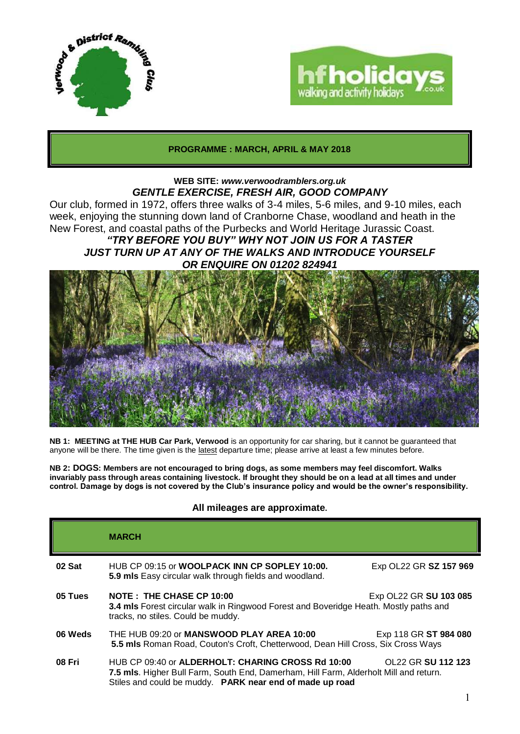



# **PROGRAMME : MARCH, APRIL & MAY 2018**

# **WEB SITE:** *www.verwoodramblers.org.uk GENTLE EXERCISE, FRESH AIR, GOOD COMPANY*

Our club, formed in 1972, offers three walks of 3-4 miles, 5-6 miles, and 9-10 miles, each week, enjoying the stunning down land of Cranborne Chase, woodland and heath in the New Forest, and coastal paths of the Purbecks and World Heritage Jurassic Coast.

# *"TRY BEFORE YOU BUY" WHY NOT JOIN US FOR A TASTER JUST TURN UP AT ANY OF THE WALKS AND INTRODUCE YOURSELF OR ENQUIRE ON 01202 824941*



**NB 1: MEETING at THE HUB Car Park, Verwood** is an opportunity for car sharing, but it cannot be guaranteed that anyone will be there. The time given is the latest departure time; please arrive at least a few minutes before.

**NB 2: DOGS: Members are not encouraged to bring dogs, as some members may feel discomfort. Walks invariably pass through areas containing livestock. If brought they should be on a lead at all times and under control. Damage by dogs is not covered by the Club's insurance policy and would be the owner's responsibility.**

# **All mileages are approximate.**

|         | <b>MARCH</b>                                                                                                                                                                                           |                        |
|---------|--------------------------------------------------------------------------------------------------------------------------------------------------------------------------------------------------------|------------------------|
| 02 Sat  | HUB CP 09:15 or WOOLPACK INN CP SOPLEY 10:00.<br>5.9 mls Easy circular walk through fields and woodland.                                                                                               | Exp OL22 GR SZ 157 969 |
| 05 Tues | <b>NOTE: THE CHASE CP 10:00</b><br>Exp OL22 GR SU 103 085<br>3.4 mls Forest circular walk in Ringwood Forest and Boveridge Heath. Mostly paths and<br>tracks, no stiles. Could be muddy.               |                        |
| 06 Weds | THE HUB 09:20 or MANSWOOD PLAY AREA 10:00<br>Exp 118 GR ST 984 080<br>5.5 mls Roman Road, Couton's Croft, Chetterwood, Dean Hill Cross, Six Cross Ways                                                 |                        |
| 08 Fri  | HUB CP 09:40 or ALDERHOLT: CHARING CROSS Rd 10:00<br>7.5 mls. Higher Bull Farm, South End, Damerham, Hill Farm, Alderholt Mill and return.<br>Stiles and could be muddy. PARK near end of made up road | OL22 GR SU 112 123     |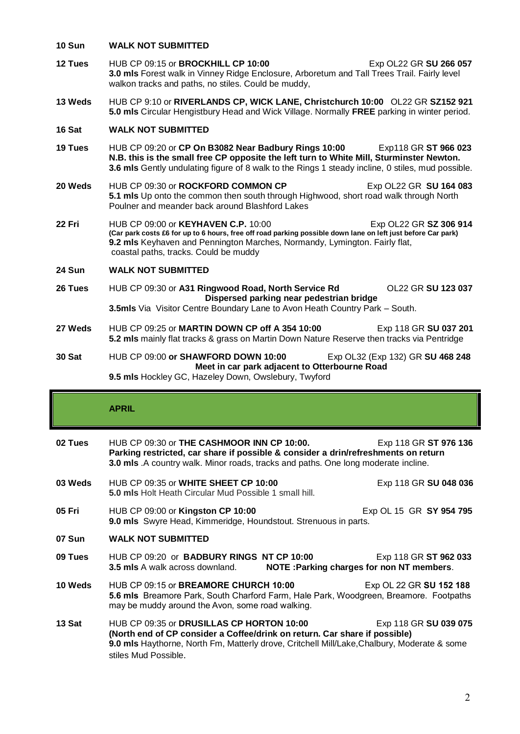#### **10 Sun WALK NOT SUBMITTED**

- **12 Tues** HUB CP 09:15 or **BROCKHILL CP 10:00** Exp OL22 GR **SU 266 057 3.0 mls** Forest walk in Vinney Ridge Enclosure, Arboretum and Tall Trees Trail. Fairly level walkon tracks and paths, no stiles. Could be muddy,
- **13 Weds** HUB CP 9:10 or **RIVERLANDS CP, WICK LANE, Christchurch 10:00** OL22 GR **SZ152 921 5.0 mls** Circular Hengistbury Head and Wick Village. Normally **FREE** parking in winter period.

### **16 Sat WALK NOT SUBMITTED**

- **19 Tues** HUB CP 09:20 or **CP On B3082 Near Badbury Rings 10:00** Exp118 GR **ST 966 023 N.B. this is the small free CP opposite the left turn to White Mill, Sturminster Newton. 3.6 mls** Gently undulating figure of 8 walk to the Rings 1 steady incline, 0 stiles, mud possible.
- **20 Weds** HUB CP 09:30 or **ROCKFORD COMMON CP** Exp OL22 GR **SU 164 083 5.1 mls** Up onto the common then south through Highwood, short road walk through North Poulner and meander back around Blashford Lakes
- **22 Fri** HUB CP 09:00 or **KEYHAVEN C.P.** 10:00 Exp OL22 GR **SZ 306 914 (Car park costs £6 for up to 6 hours, free off road parking possible down lane on left just before Car park) 9.2 mls** Keyhaven and Pennington Marches, Normandy, Lymington. Fairly flat, coastal paths, tracks. Could be muddy

#### **24 Sun WALK NOT SUBMITTED**

- **26 Tues** HUB CP 09:30 or **A31 Ringwood Road, North Service Rd** OL22 GR **SU 123 037 Dispersed parking near pedestrian bridge 3.5mls** Via Visitor Centre Boundary Lane to Avon Heath Country Park – South.
- **27 Weds** HUB CP 09:25 or **MARTIN DOWN CP off A 354 10:00** Exp 118 GR **SU 037 201 5.2 mls** mainly flat tracks & grass on Martin Down Nature Reserve then tracks via Pentridge
- **30 Sat** HUB CP 09:00 **or SHAWFORD DOWN 10:00** Exp OL32 (Exp 132) GR **SU 468 248 Meet in car park adjacent to Otterbourne Road**

# **9.5 mls** Hockley GC, Hazeley Down, Owslebury, Twyford

# **APRIL**

**02 Tues** HUB CP 09:30 or **THE CASHMOOR INN CP 10:00.** Exp 118 GR **ST 976 136 Parking restricted, car share if possible & consider a drin/refreshments on return 3.0 mls** .A country walk. Minor roads, tracks and paths. One long moderate incline. **03 Weds** HUB CP 09:35 or **WHITE SHEET CP 10:00** Exp 118 GR **SU 048 036 5.0 mls** Holt Heath Circular Mud Possible 1 small hill. **05 Fri** HUB CP 09:00 or **Kingston CP 10:00** Exp OL 15 GR **SY 954 795 9.0 mls** Swyre Head, Kimmeridge, Houndstout. Strenuous in parts. **07 Sun WALK NOT SUBMITTED 09 Tues** HUB CP 09:20 or **BADBURY RINGS NT CP 10:00** Exp 118 GR **ST 962 033 3.5 mls** A walk across downland. **NOTE :Parking charges for non NT members**. **10 Weds** HUB CP 09:15 or **BREAMORE CHURCH 10:00** Exp OL 22 GR **SU 152 188 5.6 mls** Breamore Park, South Charford Farm, Hale Park, Woodgreen, Breamore. Footpaths may be muddy around the Avon, some road walking. **13 Sat** HUB CP 09:35 or **DRUSILLAS CP HORTON 10:00** Exp 118 GR **SU 039 075 (North end of CP consider a Coffee/drink on return. Car share if possible) 9.0 mls** Haythorne, North Fm, Matterly drove, Critchell Mill/Lake,Chalbury, Moderate & some stiles Mud Possible.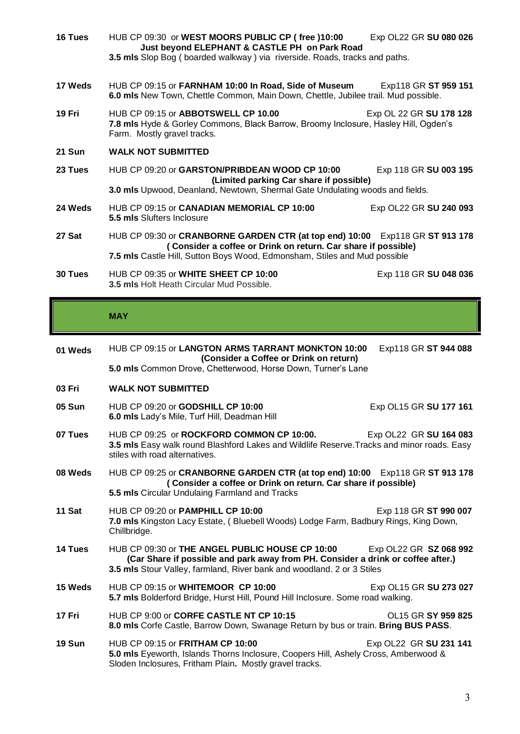| 16 Tues       | HUB CP 09:30 or WEST MOORS PUBLIC CP (free )10:00<br>Just beyond ELEPHANT & CASTLE PH on Park Road<br>3.5 mls Slop Bog (boarded walkway) via riverside. Roads, tracks and paths.                                           | Exp OL22 GR SU 080 026 |  |
|---------------|----------------------------------------------------------------------------------------------------------------------------------------------------------------------------------------------------------------------------|------------------------|--|
| 17 Weds       | HUB CP 09:15 or FARNHAM 10:00 In Road, Side of Museum<br>Exp118 GR ST 959 151<br>6.0 mls New Town, Chettle Common, Main Down, Chettle, Jubilee trail. Mud possible.                                                        |                        |  |
| 19 Fri        | HUB CP 09:15 or ABBOTSWELL CP 10.00<br>Exp OL 22 GR SU 178 128<br>7.8 mls Hyde & Gorley Commons, Black Barrow, Broomy Inclosure, Hasley Hill, Ogden's<br>Farm. Mostly gravel tracks.                                       |                        |  |
| 21 Sun        | <b>WALK NOT SUBMITTED</b>                                                                                                                                                                                                  |                        |  |
| 23 Tues       | HUB CP 09:20 or GARSTON/PRIBDEAN WOOD CP 10:00<br>Exp 118 GR SU 003 195<br>(Limited parking Car share if possible)<br>3.0 mls Upwood, Deanland, Newtown, Shermal Gate Undulating woods and fields.                         |                        |  |
| 24 Weds       | HUB CP 09:15 or CANADIAN MEMORIAL CP 10:00<br>5.5 mls Slufters Inclosure                                                                                                                                                   | Exp OL22 GR SU 240 093 |  |
| 27 Sat        | HUB CP 09:30 or CRANBORNE GARDEN CTR (at top end) 10:00 Exp118 GR ST 913 178<br>(Consider a coffee or Drink on return. Car share if possible)<br>7.5 mls Castle Hill, Sutton Boys Wood, Edmonsham, Stiles and Mud possible |                        |  |
| 30 Tues       | HUB CP 09:35 or WHITE SHEET CP 10:00<br>3.5 mls Holt Heath Circular Mud Possible.                                                                                                                                          | Exp 118 GR SU 048 036  |  |
|               | <b>MAY</b>                                                                                                                                                                                                                 |                        |  |
| 01 Weds       | HUB CP 09:15 or LANGTON ARMS TARRANT MONKTON 10:00<br>(Consider a Coffee or Drink on return)                                                                                                                               | Exp118 GR ST 944 088   |  |
|               | 5.0 mls Common Drove, Chetterwood, Horse Down, Turner's Lane                                                                                                                                                               |                        |  |
| 03 Fri        | <b>WALK NOT SUBMITTED</b>                                                                                                                                                                                                  |                        |  |
| <b>05 Sun</b> | HUB CP 09:20 or GODSHILL CP 10:00<br>6.0 mls Lady's Mile, Turf Hill, Deadman Hill                                                                                                                                          | Exp OL15 GR SU 177 161 |  |

- **07 Tues** HUB CP 09:25 or **ROCKFORD COMMON CP 10:00.** Exp OL22 GR **SU 164 083 3.5 mls** Easy walk round Blashford Lakes and Wildlife Reserve.Tracks and minor roads. Easy stiles with road alternatives.
- **08 Weds** HUB CP 09:25 or **CRANBORNE GARDEN CTR (at top end) 10:00** Exp118 GR **ST 913 178 ( Consider a coffee or Drink on return. Car share if possible) 5.5 mls** Circular Undulaing Farmland and Tracks
- **11 Sat HUB CP 09:20 or PAMPHILL CP 10:00** Exp 118 GR **ST 990 007 7.0 mls** Kingston Lacy Estate, ( Bluebell Woods) Lodge Farm, Badbury Rings, King Down, Chillbridge.
- **14 Tues** HUB CP 09:30 or **THE ANGEL PUBLIC HOUSE CP 10:00** Exp OL22 GR **SZ 068 992 (Car Share if possible and park away from PH. Consider a drink or coffee after.) 3.5 mls** Stour Valley, farmland, River bank and woodland. 2 or 3 Stiles
- **15 Weds** HUB CP 09:15 or **WHITEMOOR CP 10:00** Exp OL15 GR **SU 273 027 5.7 mls** Bolderford Bridge, Hurst Hill, Pound Hill Inclosure. Some road walking.
- **17 Fri** HUB CP 9:00 or **CORFE CASTLE NT CP 10:15** OL15 GR **SY 959 825 8.0 mls** Corfe Castle, Barrow Down, Swanage Return by bus or train. **Bring BUS PASS**.
- **19 Sun** HUB CP 09:15 or **FRITHAM CP 10:00** Exp OL22 GR SU 231 141 **5.0 mls** Eyeworth, Islands Thorns Inclosure, Coopers Hill, Ashely Cross, Amberwood & Sloden Inclosures, Fritham Plain**.** Mostly gravel tracks.